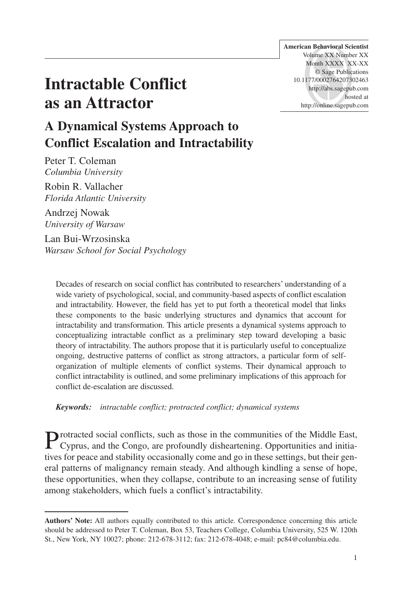**American Behavioral Scientist** Volume XX Number XX Month XXXX XX-XX © Sage Publications 10.1177/0002764207302463 http://abs.sagepub.com hosted at http://online.sagepub.com

# **Intractable Conflict as an Attractor**

## **A Dynamical Systems Approach to Conflict Escalation and Intractability**

Peter T. Coleman *Columbia University*

Robin R. Vallacher *Florida Atlantic University*

Andrzej Nowak *University of Warsaw*

Lan Bui-Wrzosinska *Warsaw School for Social Psychology*

Decades of research on social conflict has contributed to researchers' understanding of a wide variety of psychological, social, and community-based aspects of conflict escalation and intractability. However, the field has yet to put forth a theoretical model that links these components to the basic underlying structures and dynamics that account for intractability and transformation. This article presents a dynamical systems approach to conceptualizing intractable conflict as a preliminary step toward developing a basic theory of intractability. The authors propose that it is particularly useful to conceptualize ongoing, destructive patterns of conflict as strong attractors, a particular form of selforganization of multiple elements of conflict systems. Their dynamical approach to conflict intractability is outlined, and some preliminary implications of this approach for conflict de-escalation are discussed.

*Keywords: intractable conflict; protracted conflict; dynamical systems*

Protracted social conflicts, such as those in the communities of the Middle East, Cyprus, and the Congo, are profoundly disheartening. Opportunities and initiatives for peace and stability occasionally come and go in these settings, but their general patterns of malignancy remain steady. And although kindling a sense of hope, these opportunities, when they collapse, contribute to an increasing sense of futility among stakeholders, which fuels a conflict's intractability.

**Authors' Note:** All authors equally contributed to this article. Correspondence concerning this article should be addressed to Peter T. Coleman, Box 53, Teachers College, Columbia University, 525 W. 120th St., New York, NY 10027; phone: 212-678-3112; fax: 212-678-4048; e-mail: pc84@columbia.edu.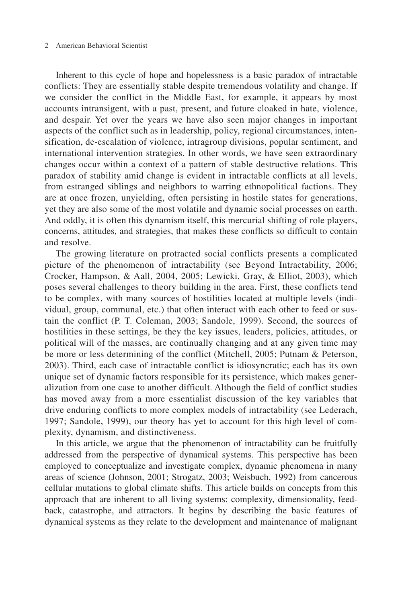#### 2 American Behavioral Scientist

Inherent to this cycle of hope and hopelessness is a basic paradox of intractable conflicts: They are essentially stable despite tremendous volatility and change. If we consider the conflict in the Middle East, for example, it appears by most accounts intransigent, with a past, present, and future cloaked in hate, violence, and despair. Yet over the years we have also seen major changes in important aspects of the conflict such as in leadership, policy, regional circumstances, intensification, de-escalation of violence, intragroup divisions, popular sentiment, and international intervention strategies. In other words, we have seen extraordinary changes occur within a context of a pattern of stable destructive relations. This paradox of stability amid change is evident in intractable conflicts at all levels, from estranged siblings and neighbors to warring ethnopolitical factions. They are at once frozen, unyielding, often persisting in hostile states for generations, yet they are also some of the most volatile and dynamic social processes on earth. And oddly, it is often this dynamism itself, this mercurial shifting of role players, concerns, attitudes, and strategies, that makes these conflicts so difficult to contain and resolve.

The growing literature on protracted social conflicts presents a complicated picture of the phenomenon of intractability (see Beyond Intractability, 2006; Crocker, Hampson, & Aall, 2004, 2005; Lewicki, Gray, & Elliot, 2003), which poses several challenges to theory building in the area. First, these conflicts tend to be complex, with many sources of hostilities located at multiple levels (individual, group, communal, etc.) that often interact with each other to feed or sustain the conflict (P. T. Coleman, 2003; Sandole, 1999). Second, the sources of hostilities in these settings, be they the key issues, leaders, policies, attitudes, or political will of the masses, are continually changing and at any given time may be more or less determining of the conflict (Mitchell, 2005; Putnam & Peterson, 2003). Third, each case of intractable conflict is idiosyncratic; each has its own unique set of dynamic factors responsible for its persistence, which makes generalization from one case to another difficult. Although the field of conflict studies has moved away from a more essentialist discussion of the key variables that drive enduring conflicts to more complex models of intractability (see Lederach, 1997; Sandole, 1999), our theory has yet to account for this high level of complexity, dynamism, and distinctiveness.

In this article, we argue that the phenomenon of intractability can be fruitfully addressed from the perspective of dynamical systems. This perspective has been employed to conceptualize and investigate complex, dynamic phenomena in many areas of science (Johnson, 2001; Strogatz, 2003; Weisbuch, 1992) from cancerous cellular mutations to global climate shifts. This article builds on concepts from this approach that are inherent to all living systems: complexity, dimensionality, feedback, catastrophe, and attractors. It begins by describing the basic features of dynamical systems as they relate to the development and maintenance of malignant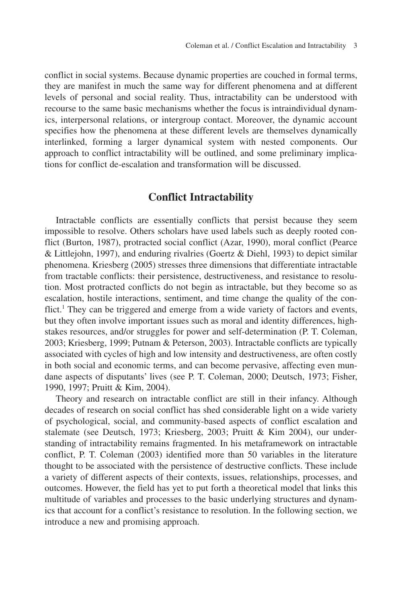conflict in social systems. Because dynamic properties are couched in formal terms, they are manifest in much the same way for different phenomena and at different levels of personal and social reality. Thus, intractability can be understood with recourse to the same basic mechanisms whether the focus is intraindividual dynamics, interpersonal relations, or intergroup contact. Moreover, the dynamic account specifies how the phenomena at these different levels are themselves dynamically interlinked, forming a larger dynamical system with nested components. Our approach to conflict intractability will be outlined, and some preliminary implications for conflict de-escalation and transformation will be discussed.

## **Conflict Intractability**

Intractable conflicts are essentially conflicts that persist because they seem impossible to resolve. Others scholars have used labels such as deeply rooted conflict (Burton, 1987), protracted social conflict (Azar, 1990), moral conflict (Pearce & Littlejohn, 1997), and enduring rivalries (Goertz & Diehl, 1993) to depict similar phenomena. Kriesberg (2005) stresses three dimensions that differentiate intractable from tractable conflicts: their persistence, destructiveness, and resistance to resolution. Most protracted conflicts do not begin as intractable, but they become so as escalation, hostile interactions, sentiment, and time change the quality of the conflict.<sup>1</sup> They can be triggered and emerge from a wide variety of factors and events, but they often involve important issues such as moral and identity differences, highstakes resources, and/or struggles for power and self-determination (P. T. Coleman, 2003; Kriesberg, 1999; Putnam & Peterson, 2003). Intractable conflicts are typically associated with cycles of high and low intensity and destructiveness, are often costly in both social and economic terms, and can become pervasive, affecting even mundane aspects of disputants' lives (see P. T. Coleman, 2000; Deutsch, 1973; Fisher, 1990, 1997; Pruitt & Kim, 2004).

Theory and research on intractable conflict are still in their infancy. Although decades of research on social conflict has shed considerable light on a wide variety of psychological, social, and community-based aspects of conflict escalation and stalemate (see Deutsch, 1973; Kriesberg, 2003; Pruitt & Kim 2004), our understanding of intractability remains fragmented. In his metaframework on intractable conflict, P. T. Coleman (2003) identified more than 50 variables in the literature thought to be associated with the persistence of destructive conflicts. These include a variety of different aspects of their contexts, issues, relationships, processes, and outcomes. However, the field has yet to put forth a theoretical model that links this multitude of variables and processes to the basic underlying structures and dynamics that account for a conflict's resistance to resolution. In the following section, we introduce a new and promising approach.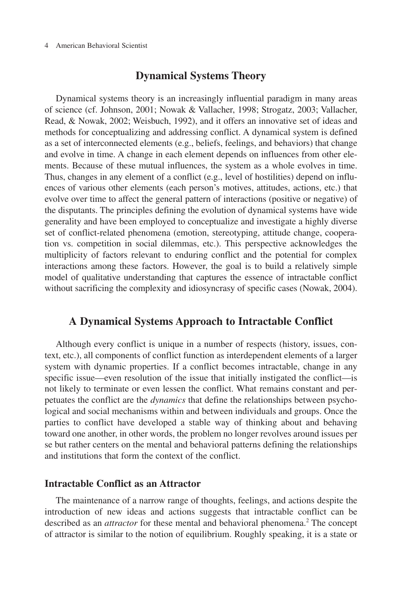#### 4 American Behavioral Scientist

## **Dynamical Systems Theory**

Dynamical systems theory is an increasingly influential paradigm in many areas of science (cf. Johnson, 2001; Nowak & Vallacher, 1998; Strogatz, 2003; Vallacher, Read, & Nowak, 2002; Weisbuch, 1992), and it offers an innovative set of ideas and methods for conceptualizing and addressing conflict. A dynamical system is defined as a set of interconnected elements (e.g., beliefs, feelings, and behaviors) that change and evolve in time. A change in each element depends on influences from other elements. Because of these mutual influences, the system as a whole evolves in time. Thus, changes in any element of a conflict (e.g., level of hostilities) depend on influences of various other elements (each person's motives, attitudes, actions, etc.) that evolve over time to affect the general pattern of interactions (positive or negative) of the disputants. The principles defining the evolution of dynamical systems have wide generality and have been employed to conceptualize and investigate a highly diverse set of conflict-related phenomena (emotion, stereotyping, attitude change, cooperation vs. competition in social dilemmas, etc.). This perspective acknowledges the multiplicity of factors relevant to enduring conflict and the potential for complex interactions among these factors. However, the goal is to build a relatively simple model of qualitative understanding that captures the essence of intractable conflict without sacrificing the complexity and idiosyncrasy of specific cases (Nowak, 2004).

## **A Dynamical Systems Approach to Intractable Conflict**

Although every conflict is unique in a number of respects (history, issues, context, etc.), all components of conflict function as interdependent elements of a larger system with dynamic properties. If a conflict becomes intractable, change in any specific issue—even resolution of the issue that initially instigated the conflict—is not likely to terminate or even lessen the conflict. What remains constant and perpetuates the conflict are the *dynamics* that define the relationships between psychological and social mechanisms within and between individuals and groups. Once the parties to conflict have developed a stable way of thinking about and behaving toward one another, in other words, the problem no longer revolves around issues per se but rather centers on the mental and behavioral patterns defining the relationships and institutions that form the context of the conflict.

## **Intractable Conflict as an Attractor**

The maintenance of a narrow range of thoughts, feelings, and actions despite the introduction of new ideas and actions suggests that intractable conflict can be described as an *attractor* for these mental and behavioral phenomena.<sup>2</sup> The concept of attractor is similar to the notion of equilibrium. Roughly speaking, it is a state or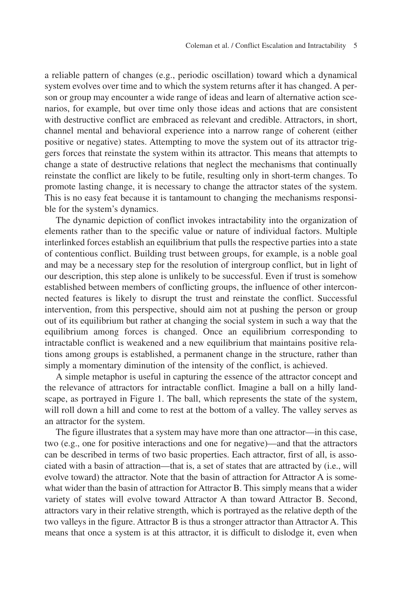a reliable pattern of changes (e.g., periodic oscillation) toward which a dynamical system evolves over time and to which the system returns after it has changed. A person or group may encounter a wide range of ideas and learn of alternative action scenarios, for example, but over time only those ideas and actions that are consistent with destructive conflict are embraced as relevant and credible. Attractors, in short, channel mental and behavioral experience into a narrow range of coherent (either positive or negative) states. Attempting to move the system out of its attractor triggers forces that reinstate the system within its attractor. This means that attempts to change a state of destructive relations that neglect the mechanisms that continually reinstate the conflict are likely to be futile, resulting only in short-term changes. To promote lasting change, it is necessary to change the attractor states of the system. This is no easy feat because it is tantamount to changing the mechanisms responsible for the system's dynamics.

The dynamic depiction of conflict invokes intractability into the organization of elements rather than to the specific value or nature of individual factors. Multiple interlinked forces establish an equilibrium that pulls the respective parties into a state of contentious conflict. Building trust between groups, for example, is a noble goal and may be a necessary step for the resolution of intergroup conflict, but in light of our description, this step alone is unlikely to be successful. Even if trust is somehow established between members of conflicting groups, the influence of other interconnected features is likely to disrupt the trust and reinstate the conflict. Successful intervention, from this perspective, should aim not at pushing the person or group out of its equilibrium but rather at changing the social system in such a way that the equilibrium among forces is changed. Once an equilibrium corresponding to intractable conflict is weakened and a new equilibrium that maintains positive relations among groups is established, a permanent change in the structure, rather than simply a momentary diminution of the intensity of the conflict, is achieved.

A simple metaphor is useful in capturing the essence of the attractor concept and the relevance of attractors for intractable conflict. Imagine a ball on a hilly landscape, as portrayed in Figure 1. The ball, which represents the state of the system, will roll down a hill and come to rest at the bottom of a valley. The valley serves as an attractor for the system.

The figure illustrates that a system may have more than one attractor—in this case, two (e.g., one for positive interactions and one for negative)—and that the attractors can be described in terms of two basic properties. Each attractor, first of all, is associated with a basin of attraction—that is, a set of states that are attracted by (i.e., will evolve toward) the attractor. Note that the basin of attraction for Attractor A is somewhat wider than the basin of attraction for Attractor B. This simply means that a wider variety of states will evolve toward Attractor A than toward Attractor B. Second, attractors vary in their relative strength, which is portrayed as the relative depth of the two valleys in the figure. Attractor B is thus a stronger attractor than Attractor A. This means that once a system is at this attractor, it is difficult to dislodge it, even when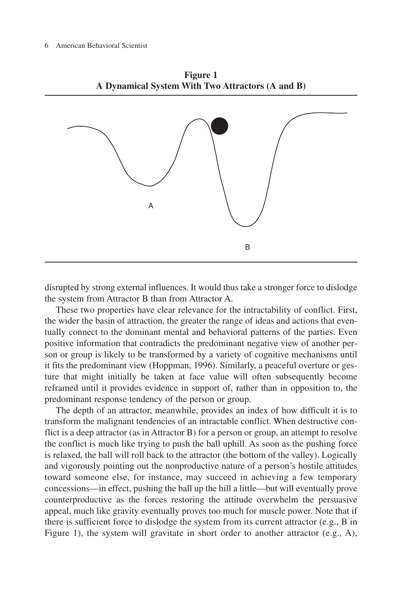

**Figure 1 A Dynamical System With Two Attractors (A and B)**

disrupted by strong external influences. It would thus take a stronger force to dislodge the system from Attractor B than from Attractor A.

These two properties have clear relevance for the intractability of conflict. First, the wider the basin of attraction, the greater the range of ideas and actions that eventually connect to the dominant mental and behavioral patterns of the parties. Even positive information that contradicts the predominant negative view of another person or group is likely to be transformed by a variety of cognitive mechanisms until it fits the predominant view (Hoppman, 1996). Similarly, a peaceful overture or gesture that might initially be taken at face value will often subsequently become reframed until it provides evidence in support of, rather than in opposition to, the predominant response tendency of the person or group.

The depth of an attractor, meanwhile, provides an index of how difficult it is to transform the malignant tendencies of an intractable conflict. When destructive conflict is a deep attractor (as in Attractor B) for a person or group, an attempt to resolve the conflict is much like trying to push the ball uphill. As soon as the pushing force is relaxed, the ball will roll back to the attractor (the bottom of the valley). Logically and vigorously pointing out the nonproductive nature of a person's hostile attitudes toward someone else, for instance, may succeed in achieving a few temporary concessions—in effect, pushing the ball up the hill a little—but will eventually prove counterproductive as the forces restoring the attitude overwhelm the persuasive appeal, much like gravity eventually proves too much for muscle power. Note that if there is sufficient force to dislodge the system from its current attractor (e.g.,  $\overline{B}$  in Figure 1), the system will gravitate in short order to another attractor (e.g., A),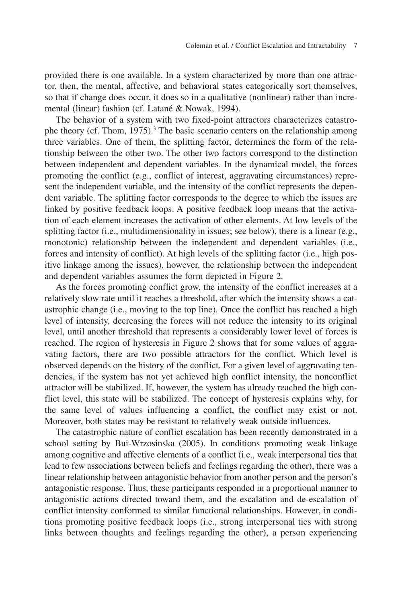provided there is one available. In a system characterized by more than one attractor, then, the mental, affective, and behavioral states categorically sort themselves, so that if change does occur, it does so in a qualitative (nonlinear) rather than incremental (linear) fashion (cf. Latané & Nowak, 1994).

The behavior of a system with two fixed-point attractors characterizes catastrophe theory (cf. Thom,  $1975$ ).<sup>3</sup> The basic scenario centers on the relationship among three variables. One of them, the splitting factor, determines the form of the relationship between the other two. The other two factors correspond to the distinction between independent and dependent variables. In the dynamical model, the forces promoting the conflict (e.g., conflict of interest, aggravating circumstances) represent the independent variable, and the intensity of the conflict represents the dependent variable. The splitting factor corresponds to the degree to which the issues are linked by positive feedback loops. A positive feedback loop means that the activation of each element increases the activation of other elements. At low levels of the splitting factor (i.e., multidimensionality in issues; see below), there is a linear (e.g., monotonic) relationship between the independent and dependent variables (i.e., forces and intensity of conflict). At high levels of the splitting factor (i.e., high positive linkage among the issues), however, the relationship between the independent and dependent variables assumes the form depicted in Figure 2.

As the forces promoting conflict grow, the intensity of the conflict increases at a relatively slow rate until it reaches a threshold, after which the intensity shows a catastrophic change (i.e., moving to the top line). Once the conflict has reached a high level of intensity, decreasing the forces will not reduce the intensity to its original level, until another threshold that represents a considerably lower level of forces is reached. The region of hysteresis in Figure 2 shows that for some values of aggravating factors, there are two possible attractors for the conflict. Which level is observed depends on the history of the conflict. For a given level of aggravating tendencies, if the system has not yet achieved high conflict intensity, the nonconflict attractor will be stabilized. If, however, the system has already reached the high conflict level, this state will be stabilized. The concept of hysteresis explains why, for the same level of values influencing a conflict, the conflict may exist or not. Moreover, both states may be resistant to relatively weak outside influences.

The catastrophic nature of conflict escalation has been recently demonstrated in a school setting by Bui-Wrzosinska (2005). In conditions promoting weak linkage among cognitive and affective elements of a conflict (i.e., weak interpersonal ties that lead to few associations between beliefs and feelings regarding the other), there was a linear relationship between antagonistic behavior from another person and the person's antagonistic response. Thus, these participants responded in a proportional manner to antagonistic actions directed toward them, and the escalation and de-escalation of conflict intensity conformed to similar functional relationships. However, in conditions promoting positive feedback loops (i.e., strong interpersonal ties with strong links between thoughts and feelings regarding the other), a person experiencing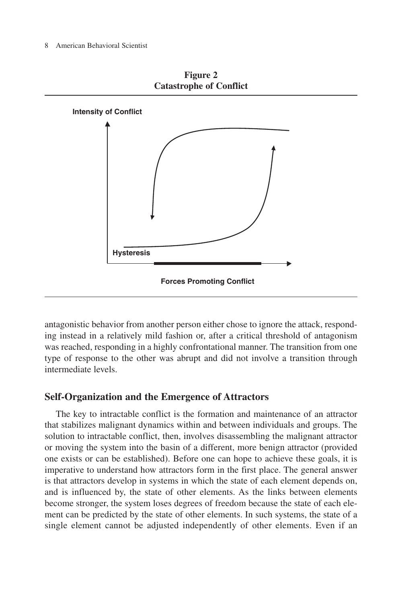

**Figure 2 Catastrophe of Conflict**

antagonistic behavior from another person either chose to ignore the attack, responding instead in a relatively mild fashion or, after a critical threshold of antagonism was reached, responding in a highly confrontational manner. The transition from one type of response to the other was abrupt and did not involve a transition through intermediate levels.

## **Self-Organization and the Emergence of Attractors**

The key to intractable conflict is the formation and maintenance of an attractor that stabilizes malignant dynamics within and between individuals and groups. The solution to intractable conflict, then, involves disassembling the malignant attractor or moving the system into the basin of a different, more benign attractor (provided one exists or can be established). Before one can hope to achieve these goals, it is imperative to understand how attractors form in the first place. The general answer is that attractors develop in systems in which the state of each element depends on, and is influenced by, the state of other elements. As the links between elements become stronger, the system loses degrees of freedom because the state of each element can be predicted by the state of other elements. In such systems, the state of a single element cannot be adjusted independently of other elements. Even if an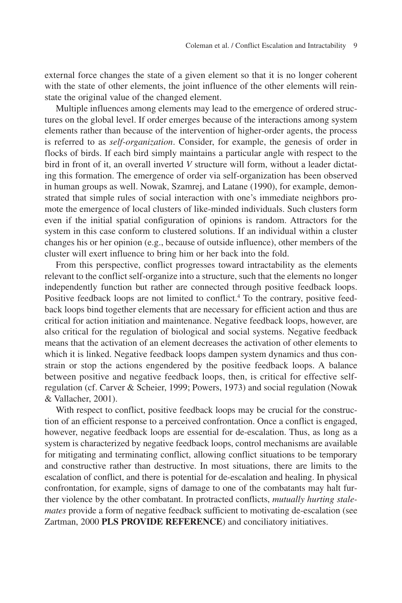external force changes the state of a given element so that it is no longer coherent with the state of other elements, the joint influence of the other elements will reinstate the original value of the changed element.

Multiple influences among elements may lead to the emergence of ordered structures on the global level. If order emerges because of the interactions among system elements rather than because of the intervention of higher-order agents, the process is referred to as *self-organization*. Consider, for example, the genesis of order in flocks of birds. If each bird simply maintains a particular angle with respect to the bird in front of it, an overall inverted *V* structure will form, without a leader dictating this formation. The emergence of order via self-organization has been observed in human groups as well. Nowak, Szamrej, and Latane (1990), for example, demonstrated that simple rules of social interaction with one's immediate neighbors promote the emergence of local clusters of like-minded individuals. Such clusters form even if the initial spatial configuration of opinions is random. Attractors for the system in this case conform to clustered solutions. If an individual within a cluster changes his or her opinion (e.g., because of outside influence), other members of the cluster will exert influence to bring him or her back into the fold.

From this perspective, conflict progresses toward intractability as the elements relevant to the conflict self-organize into a structure, such that the elements no longer independently function but rather are connected through positive feedback loops. Positive feedback loops are not limited to conflict.<sup>4</sup> To the contrary, positive feedback loops bind together elements that are necessary for efficient action and thus are critical for action initiation and maintenance. Negative feedback loops, however, are also critical for the regulation of biological and social systems. Negative feedback means that the activation of an element decreases the activation of other elements to which it is linked. Negative feedback loops dampen system dynamics and thus constrain or stop the actions engendered by the positive feedback loops. A balance between positive and negative feedback loops, then, is critical for effective selfregulation (cf. Carver & Scheier, 1999; Powers, 1973) and social regulation (Nowak & Vallacher, 2001).

With respect to conflict, positive feedback loops may be crucial for the construction of an efficient response to a perceived confrontation. Once a conflict is engaged, however, negative feedback loops are essential for de-escalation. Thus, as long as a system is characterized by negative feedback loops, control mechanisms are available for mitigating and terminating conflict, allowing conflict situations to be temporary and constructive rather than destructive. In most situations, there are limits to the escalation of conflict, and there is potential for de-escalation and healing. In physical confrontation, for example, signs of damage to one of the combatants may halt further violence by the other combatant. In protracted conflicts, *mutually hurting stalemates* provide a form of negative feedback sufficient to motivating de-escalation (see Zartman, 2000 **PLS PROVIDE REFERENCE**) and conciliatory initiatives.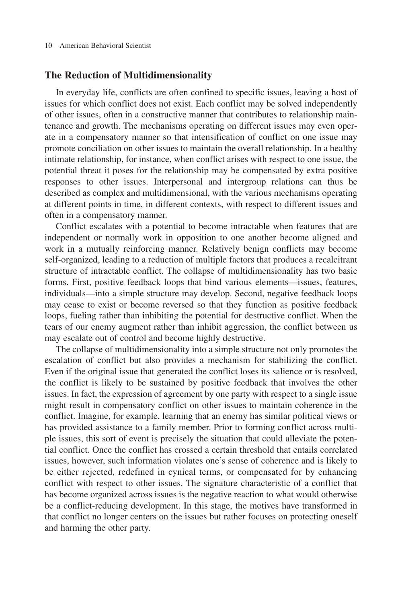## **The Reduction of Multidimensionality**

In everyday life, conflicts are often confined to specific issues, leaving a host of issues for which conflict does not exist. Each conflict may be solved independently of other issues, often in a constructive manner that contributes to relationship maintenance and growth. The mechanisms operating on different issues may even operate in a compensatory manner so that intensification of conflict on one issue may promote conciliation on other issues to maintain the overall relationship. In a healthy intimate relationship, for instance, when conflict arises with respect to one issue, the potential threat it poses for the relationship may be compensated by extra positive responses to other issues. Interpersonal and intergroup relations can thus be described as complex and multidimensional, with the various mechanisms operating at different points in time, in different contexts, with respect to different issues and often in a compensatory manner.

Conflict escalates with a potential to become intractable when features that are independent or normally work in opposition to one another become aligned and work in a mutually reinforcing manner. Relatively benign conflicts may become self-organized, leading to a reduction of multiple factors that produces a recalcitrant structure of intractable conflict. The collapse of multidimensionality has two basic forms. First, positive feedback loops that bind various elements—issues, features, individuals—into a simple structure may develop. Second, negative feedback loops may cease to exist or become reversed so that they function as positive feedback loops, fueling rather than inhibiting the potential for destructive conflict. When the tears of our enemy augment rather than inhibit aggression, the conflict between us may escalate out of control and become highly destructive.

The collapse of multidimensionality into a simple structure not only promotes the escalation of conflict but also provides a mechanism for stabilizing the conflict. Even if the original issue that generated the conflict loses its salience or is resolved, the conflict is likely to be sustained by positive feedback that involves the other issues. In fact, the expression of agreement by one party with respect to a single issue might result in compensatory conflict on other issues to maintain coherence in the conflict. Imagine, for example, learning that an enemy has similar political views or has provided assistance to a family member. Prior to forming conflict across multiple issues, this sort of event is precisely the situation that could alleviate the potential conflict. Once the conflict has crossed a certain threshold that entails correlated issues, however, such information violates one's sense of coherence and is likely to be either rejected, redefined in cynical terms, or compensated for by enhancing conflict with respect to other issues. The signature characteristic of a conflict that has become organized across issues is the negative reaction to what would otherwise be a conflict-reducing development. In this stage, the motives have transformed in that conflict no longer centers on the issues but rather focuses on protecting oneself and harming the other party.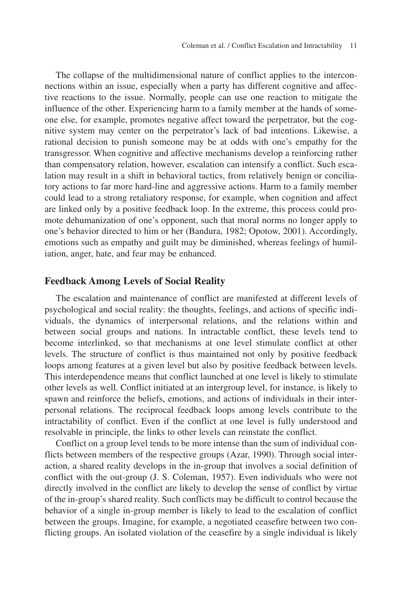The collapse of the multidimensional nature of conflict applies to the interconnections within an issue, especially when a party has different cognitive and affective reactions to the issue. Normally, people can use one reaction to mitigate the influence of the other. Experiencing harm to a family member at the hands of someone else, for example, promotes negative affect toward the perpetrator, but the cognitive system may center on the perpetrator's lack of bad intentions. Likewise, a rational decision to punish someone may be at odds with one's empathy for the transgressor. When cognitive and affective mechanisms develop a reinforcing rather than compensatory relation, however, escalation can intensify a conflict. Such escalation may result in a shift in behavioral tactics, from relatively benign or conciliatory actions to far more hard-line and aggressive actions. Harm to a family member could lead to a strong retaliatory response, for example, when cognition and affect are linked only by a positive feedback loop. In the extreme, this process could promote dehumanization of one's opponent, such that moral norms no longer apply to one's behavior directed to him or her (Bandura, 1982; Opotow, 2001). Accordingly, emotions such as empathy and guilt may be diminished, whereas feelings of humiliation, anger, hate, and fear may be enhanced.

#### **Feedback Among Levels of Social Reality**

The escalation and maintenance of conflict are manifested at different levels of psychological and social reality: the thoughts, feelings, and actions of specific individuals, the dynamics of interpersonal relations, and the relations within and between social groups and nations. In intractable conflict, these levels tend to become interlinked, so that mechanisms at one level stimulate conflict at other levels. The structure of conflict is thus maintained not only by positive feedback loops among features at a given level but also by positive feedback between levels. This interdependence means that conflict launched at one level is likely to stimulate other levels as well. Conflict initiated at an intergroup level, for instance, is likely to spawn and reinforce the beliefs, emotions, and actions of individuals in their interpersonal relations. The reciprocal feedback loops among levels contribute to the intractability of conflict. Even if the conflict at one level is fully understood and resolvable in principle, the links to other levels can reinstate the conflict.

Conflict on a group level tends to be more intense than the sum of individual conflicts between members of the respective groups (Azar, 1990). Through social interaction, a shared reality develops in the in-group that involves a social definition of conflict with the out-group (J. S. Coleman, 1957). Even individuals who were not directly involved in the conflict are likely to develop the sense of conflict by virtue of the in-group's shared reality. Such conflicts may be difficult to control because the behavior of a single in-group member is likely to lead to the escalation of conflict between the groups. Imagine, for example, a negotiated ceasefire between two conflicting groups. An isolated violation of the ceasefire by a single individual is likely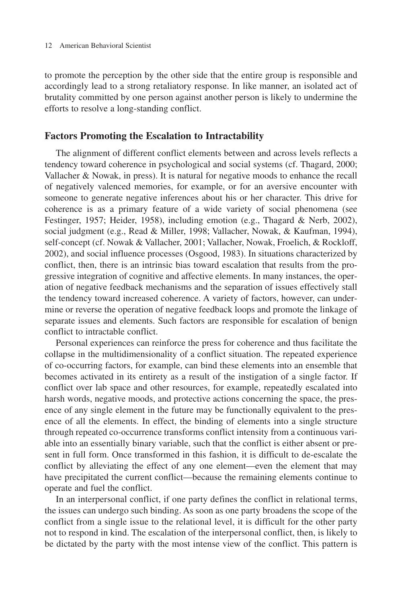to promote the perception by the other side that the entire group is responsible and accordingly lead to a strong retaliatory response. In like manner, an isolated act of brutality committed by one person against another person is likely to undermine the efforts to resolve a long-standing conflict.

#### **Factors Promoting the Escalation to Intractability**

The alignment of different conflict elements between and across levels reflects a tendency toward coherence in psychological and social systems (cf. Thagard, 2000; Vallacher & Nowak, in press). It is natural for negative moods to enhance the recall of negatively valenced memories, for example, or for an aversive encounter with someone to generate negative inferences about his or her character. This drive for coherence is as a primary feature of a wide variety of social phenomena (see Festinger, 1957; Heider, 1958), including emotion (e.g., Thagard & Nerb, 2002), social judgment (e.g., Read & Miller, 1998; Vallacher, Nowak, & Kaufman, 1994), self-concept (cf. Nowak & Vallacher, 2001; Vallacher, Nowak, Froelich, & Rockloff, 2002), and social influence processes (Osgood, 1983). In situations characterized by conflict, then, there is an intrinsic bias toward escalation that results from the progressive integration of cognitive and affective elements. In many instances, the operation of negative feedback mechanisms and the separation of issues effectively stall the tendency toward increased coherence. A variety of factors, however, can undermine or reverse the operation of negative feedback loops and promote the linkage of separate issues and elements. Such factors are responsible for escalation of benign conflict to intractable conflict.

Personal experiences can reinforce the press for coherence and thus facilitate the collapse in the multidimensionality of a conflict situation. The repeated experience of co-occurring factors, for example, can bind these elements into an ensemble that becomes activated in its entirety as a result of the instigation of a single factor. If conflict over lab space and other resources, for example, repeatedly escalated into harsh words, negative moods, and protective actions concerning the space, the presence of any single element in the future may be functionally equivalent to the presence of all the elements. In effect, the binding of elements into a single structure through repeated co-occurrence transforms conflict intensity from a continuous variable into an essentially binary variable, such that the conflict is either absent or present in full form. Once transformed in this fashion, it is difficult to de-escalate the conflict by alleviating the effect of any one element—even the element that may have precipitated the current conflict—because the remaining elements continue to operate and fuel the conflict.

In an interpersonal conflict, if one party defines the conflict in relational terms, the issues can undergo such binding. As soon as one party broadens the scope of the conflict from a single issue to the relational level, it is difficult for the other party not to respond in kind. The escalation of the interpersonal conflict, then, is likely to be dictated by the party with the most intense view of the conflict. This pattern is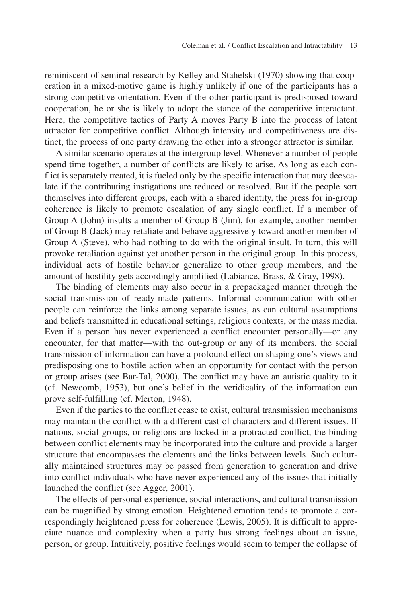reminiscent of seminal research by Kelley and Stahelski (1970) showing that cooperation in a mixed-motive game is highly unlikely if one of the participants has a strong competitive orientation. Even if the other participant is predisposed toward cooperation, he or she is likely to adopt the stance of the competitive interactant. Here, the competitive tactics of Party A moves Party B into the process of latent attractor for competitive conflict. Although intensity and competitiveness are distinct, the process of one party drawing the other into a stronger attractor is similar.

A similar scenario operates at the intergroup level. Whenever a number of people spend time together, a number of conflicts are likely to arise. As long as each conflict is separately treated, it is fueled only by the specific interaction that may deescalate if the contributing instigations are reduced or resolved. But if the people sort themselves into different groups, each with a shared identity, the press for in-group coherence is likely to promote escalation of any single conflict. If a member of Group A (John) insults a member of Group B (Jim), for example, another member of Group B (Jack) may retaliate and behave aggressively toward another member of Group A (Steve), who had nothing to do with the original insult. In turn, this will provoke retaliation against yet another person in the original group. In this process, individual acts of hostile behavior generalize to other group members, and the amount of hostility gets accordingly amplified (Labiance, Brass, & Gray, 1998).

The binding of elements may also occur in a prepackaged manner through the social transmission of ready-made patterns. Informal communication with other people can reinforce the links among separate issues, as can cultural assumptions and beliefs transmitted in educational settings, religious contexts, or the mass media. Even if a person has never experienced a conflict encounter personally—or any encounter, for that matter—with the out-group or any of its members, the social transmission of information can have a profound effect on shaping one's views and predisposing one to hostile action when an opportunity for contact with the person or group arises (see Bar-Tal, 2000). The conflict may have an autistic quality to it (cf. Newcomb, 1953), but one's belief in the veridicality of the information can prove self-fulfilling (cf. Merton, 1948).

Even if the parties to the conflict cease to exist, cultural transmission mechanisms may maintain the conflict with a different cast of characters and different issues. If nations, social groups, or religions are locked in a protracted conflict, the binding between conflict elements may be incorporated into the culture and provide a larger structure that encompasses the elements and the links between levels. Such culturally maintained structures may be passed from generation to generation and drive into conflict individuals who have never experienced any of the issues that initially launched the conflict (see Agger, 2001).

The effects of personal experience, social interactions, and cultural transmission can be magnified by strong emotion. Heightened emotion tends to promote a correspondingly heightened press for coherence (Lewis, 2005). It is difficult to appreciate nuance and complexity when a party has strong feelings about an issue, person, or group. Intuitively, positive feelings would seem to temper the collapse of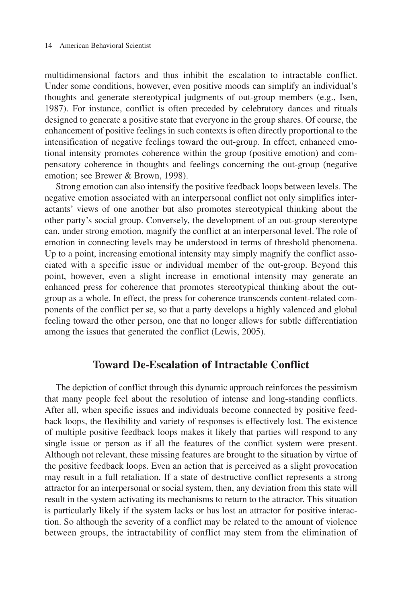multidimensional factors and thus inhibit the escalation to intractable conflict. Under some conditions, however, even positive moods can simplify an individual's thoughts and generate stereotypical judgments of out-group members (e.g., Isen, 1987). For instance, conflict is often preceded by celebratory dances and rituals designed to generate a positive state that everyone in the group shares. Of course, the enhancement of positive feelings in such contexts is often directly proportional to the intensification of negative feelings toward the out-group. In effect, enhanced emotional intensity promotes coherence within the group (positive emotion) and compensatory coherence in thoughts and feelings concerning the out-group (negative emotion; see Brewer & Brown, 1998).

Strong emotion can also intensify the positive feedback loops between levels. The negative emotion associated with an interpersonal conflict not only simplifies interactants' views of one another but also promotes stereotypical thinking about the other party's social group. Conversely, the development of an out-group stereotype can, under strong emotion, magnify the conflict at an interpersonal level. The role of emotion in connecting levels may be understood in terms of threshold phenomena. Up to a point, increasing emotional intensity may simply magnify the conflict associated with a specific issue or individual member of the out-group. Beyond this point, however, even a slight increase in emotional intensity may generate an enhanced press for coherence that promotes stereotypical thinking about the outgroup as a whole. In effect, the press for coherence transcends content-related components of the conflict per se, so that a party develops a highly valenced and global feeling toward the other person, one that no longer allows for subtle differentiation among the issues that generated the conflict (Lewis, 2005).

## **Toward De-Escalation of Intractable Conflict**

The depiction of conflict through this dynamic approach reinforces the pessimism that many people feel about the resolution of intense and long-standing conflicts. After all, when specific issues and individuals become connected by positive feedback loops, the flexibility and variety of responses is effectively lost. The existence of multiple positive feedback loops makes it likely that parties will respond to any single issue or person as if all the features of the conflict system were present. Although not relevant, these missing features are brought to the situation by virtue of the positive feedback loops. Even an action that is perceived as a slight provocation may result in a full retaliation. If a state of destructive conflict represents a strong attractor for an interpersonal or social system, then, any deviation from this state will result in the system activating its mechanisms to return to the attractor. This situation is particularly likely if the system lacks or has lost an attractor for positive interaction. So although the severity of a conflict may be related to the amount of violence between groups, the intractability of conflict may stem from the elimination of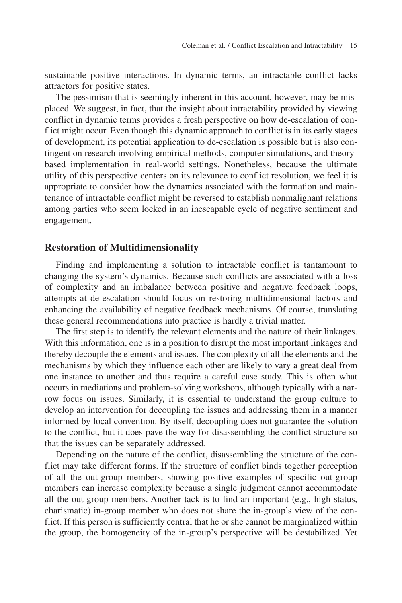sustainable positive interactions. In dynamic terms, an intractable conflict lacks attractors for positive states.

The pessimism that is seemingly inherent in this account, however, may be misplaced. We suggest, in fact, that the insight about intractability provided by viewing conflict in dynamic terms provides a fresh perspective on how de-escalation of conflict might occur. Even though this dynamic approach to conflict is in its early stages of development, its potential application to de-escalation is possible but is also contingent on research involving empirical methods, computer simulations, and theorybased implementation in real-world settings. Nonetheless, because the ultimate utility of this perspective centers on its relevance to conflict resolution, we feel it is appropriate to consider how the dynamics associated with the formation and maintenance of intractable conflict might be reversed to establish nonmalignant relations among parties who seem locked in an inescapable cycle of negative sentiment and engagement.

## **Restoration of Multidimensionality**

Finding and implementing a solution to intractable conflict is tantamount to changing the system's dynamics. Because such conflicts are associated with a loss of complexity and an imbalance between positive and negative feedback loops, attempts at de-escalation should focus on restoring multidimensional factors and enhancing the availability of negative feedback mechanisms. Of course, translating these general recommendations into practice is hardly a trivial matter.

The first step is to identify the relevant elements and the nature of their linkages. With this information, one is in a position to disrupt the most important linkages and thereby decouple the elements and issues. The complexity of all the elements and the mechanisms by which they influence each other are likely to vary a great deal from one instance to another and thus require a careful case study. This is often what occurs in mediations and problem-solving workshops, although typically with a narrow focus on issues. Similarly, it is essential to understand the group culture to develop an intervention for decoupling the issues and addressing them in a manner informed by local convention. By itself, decoupling does not guarantee the solution to the conflict, but it does pave the way for disassembling the conflict structure so that the issues can be separately addressed.

Depending on the nature of the conflict, disassembling the structure of the conflict may take different forms. If the structure of conflict binds together perception of all the out-group members, showing positive examples of specific out-group members can increase complexity because a single judgment cannot accommodate all the out-group members. Another tack is to find an important (e.g., high status, charismatic) in-group member who does not share the in-group's view of the conflict. If this person is sufficiently central that he or she cannot be marginalized within the group, the homogeneity of the in-group's perspective will be destabilized. Yet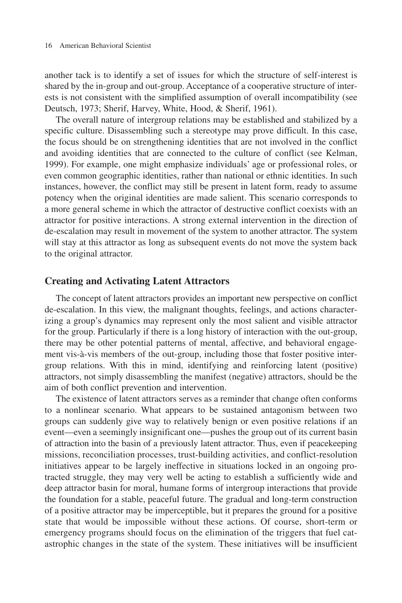another tack is to identify a set of issues for which the structure of self-interest is shared by the in-group and out-group. Acceptance of a cooperative structure of interests is not consistent with the simplified assumption of overall incompatibility (see Deutsch, 1973; Sherif, Harvey, White, Hood, & Sherif, 1961).

The overall nature of intergroup relations may be established and stabilized by a specific culture. Disassembling such a stereotype may prove difficult. In this case, the focus should be on strengthening identities that are not involved in the conflict and avoiding identities that are connected to the culture of conflict (see Kelman, 1999). For example, one might emphasize individuals' age or professional roles, or even common geographic identities, rather than national or ethnic identities. In such instances, however, the conflict may still be present in latent form, ready to assume potency when the original identities are made salient. This scenario corresponds to a more general scheme in which the attractor of destructive conflict coexists with an attractor for positive interactions. A strong external intervention in the direction of de-escalation may result in movement of the system to another attractor. The system will stay at this attractor as long as subsequent events do not move the system back to the original attractor.

#### **Creating and Activating Latent Attractors**

The concept of latent attractors provides an important new perspective on conflict de-escalation. In this view, the malignant thoughts, feelings, and actions characterizing a group's dynamics may represent only the most salient and visible attractor for the group. Particularly if there is a long history of interaction with the out-group, there may be other potential patterns of mental, affective, and behavioral engagement vis-à-vis members of the out-group, including those that foster positive intergroup relations. With this in mind, identifying and reinforcing latent (positive) attractors, not simply disassembling the manifest (negative) attractors, should be the aim of both conflict prevention and intervention.

The existence of latent attractors serves as a reminder that change often conforms to a nonlinear scenario. What appears to be sustained antagonism between two groups can suddenly give way to relatively benign or even positive relations if an event—even a seemingly insignificant one—pushes the group out of its current basin of attraction into the basin of a previously latent attractor. Thus, even if peacekeeping missions, reconciliation processes, trust-building activities, and conflict-resolution initiatives appear to be largely ineffective in situations locked in an ongoing protracted struggle, they may very well be acting to establish a sufficiently wide and deep attractor basin for moral, humane forms of intergroup interactions that provide the foundation for a stable, peaceful future. The gradual and long-term construction of a positive attractor may be imperceptible, but it prepares the ground for a positive state that would be impossible without these actions. Of course, short-term or emergency programs should focus on the elimination of the triggers that fuel catastrophic changes in the state of the system. These initiatives will be insufficient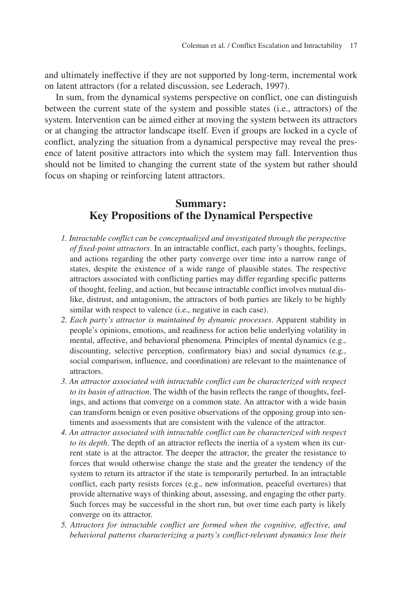and ultimately ineffective if they are not supported by long-term, incremental work on latent attractors (for a related discussion, see Lederach, 1997).

In sum, from the dynamical systems perspective on conflict, one can distinguish between the current state of the system and possible states (i.e., attractors) of the system. Intervention can be aimed either at moving the system between its attractors or at changing the attractor landscape itself. Even if groups are locked in a cycle of conflict, analyzing the situation from a dynamical perspective may reveal the presence of latent positive attractors into which the system may fall. Intervention thus should not be limited to changing the current state of the system but rather should focus on shaping or reinforcing latent attractors.

## **Summary: Key Propositions of the Dynamical Perspective**

- *1. Intractable conflict can be conceptualized and investigated through the perspective of fixed-point attractors*. In an intractable conflict, each party's thoughts, feelings, and actions regarding the other party converge over time into a narrow range of states, despite the existence of a wide range of plausible states. The respective attractors associated with conflicting parties may differ regarding specific patterns of thought, feeling, and action, but because intractable conflict involves mutual dislike, distrust, and antagonism, the attractors of both parties are likely to be highly similar with respect to valence (i.e., negative in each case).
- *2. Each party's attractor is maintained by dynamic processes*. Apparent stability in people's opinions, emotions, and readiness for action belie underlying volatility in mental, affective, and behavioral phenomena. Principles of mental dynamics (e.g., discounting, selective perception, confirmatory bias) and social dynamics (e.g., social comparison, influence, and coordination) are relevant to the maintenance of attractors.
- *3. An attractor associated with intractable conflict can be characterized with respect to its basin of attraction*. The width of the basin reflects the range of thoughts, feelings, and actions that converge on a common state. An attractor with a wide basin can transform benign or even positive observations of the opposing group into sentiments and assessments that are consistent with the valence of the attractor.
- *4. An attractor associated with intractable conflict can be characterized with respect to its depth*. The depth of an attractor reflects the inertia of a system when its current state is at the attractor. The deeper the attractor, the greater the resistance to forces that would otherwise change the state and the greater the tendency of the system to return its attractor if the state is temporarily perturbed. In an intractable conflict, each party resists forces (e.g., new information, peaceful overtures) that provide alternative ways of thinking about, assessing, and engaging the other party. Such forces may be successful in the short run, but over time each party is likely converge on its attractor.
- *5. Attractors for intractable conflict are formed when the cognitive, affective, and behavioral patterns characterizing a party's conflict-relevant dynamics lose their*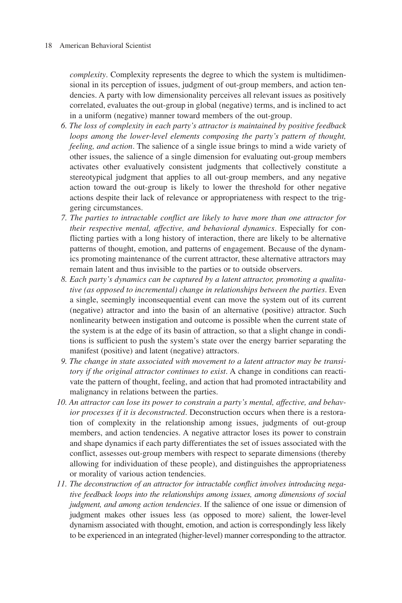*complexity*. Complexity represents the degree to which the system is multidimensional in its perception of issues, judgment of out-group members, and action tendencies. A party with low dimensionality perceives all relevant issues as positively correlated, evaluates the out-group in global (negative) terms, and is inclined to act in a uniform (negative) manner toward members of the out-group.

- *6. The loss of complexity in each party's attractor is maintained by positive feedback loops among the lower-level elements composing the party's pattern of thought, feeling, and action*. The salience of a single issue brings to mind a wide variety of other issues, the salience of a single dimension for evaluating out-group members activates other evaluatively consistent judgments that collectively constitute a stereotypical judgment that applies to all out-group members, and any negative action toward the out-group is likely to lower the threshold for other negative actions despite their lack of relevance or appropriateness with respect to the triggering circumstances.
- *7. The parties to intractable conflict are likely to have more than one attractor for their respective mental, affective, and behavioral dynamics*. Especially for conflicting parties with a long history of interaction, there are likely to be alternative patterns of thought, emotion, and patterns of engagement. Because of the dynamics promoting maintenance of the current attractor, these alternative attractors may remain latent and thus invisible to the parties or to outside observers.
- *8. Each party's dynamics can be captured by a latent attractor, promoting a qualitative (as opposed to incremental) change in relationships between the parties*. Even a single, seemingly inconsequential event can move the system out of its current (negative) attractor and into the basin of an alternative (positive) attractor. Such nonlinearity between instigation and outcome is possible when the current state of the system is at the edge of its basin of attraction, so that a slight change in conditions is sufficient to push the system's state over the energy barrier separating the manifest (positive) and latent (negative) attractors.
- *9. The change in state associated with movement to a latent attractor may be transitory if the original attractor continues to exist*. A change in conditions can reactivate the pattern of thought, feeling, and action that had promoted intractability and malignancy in relations between the parties.
- *10. An attractor can lose its power to constrain a party's mental, affective, and behavior processes if it is deconstructed*. Deconstruction occurs when there is a restoration of complexity in the relationship among issues, judgments of out-group members, and action tendencies. A negative attractor loses its power to constrain and shape dynamics if each party differentiates the set of issues associated with the conflict, assesses out-group members with respect to separate dimensions (thereby allowing for individuation of these people), and distinguishes the appropriateness or morality of various action tendencies.
- *11. The deconstruction of an attractor for intractable conflict involves introducing negative feedback loops into the relationships among issues, among dimensions of social judgment, and among action tendencies*. If the salience of one issue or dimension of judgment makes other issues less (as opposed to more) salient, the lower-level dynamism associated with thought, emotion, and action is correspondingly less likely to be experienced in an integrated (higher-level) manner corresponding to the attractor.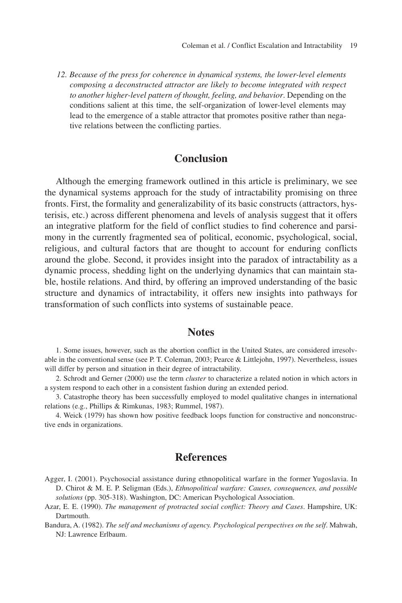*12. Because of the press for coherence in dynamical systems, the lower-level elements composing a deconstructed attractor are likely to become integrated with respect to another higher-level pattern of thought, feeling, and behavior*. Depending on the conditions salient at this time, the self-organization of lower-level elements may lead to the emergence of a stable attractor that promotes positive rather than negative relations between the conflicting parties.

## **Conclusion**

Although the emerging framework outlined in this article is preliminary, we see the dynamical systems approach for the study of intractability promising on three fronts. First, the formality and generalizability of its basic constructs (attractors, hysterisis, etc.) across different phenomena and levels of analysis suggest that it offers an integrative platform for the field of conflict studies to find coherence and parsimony in the currently fragmented sea of political, economic, psychological, social, religious, and cultural factors that are thought to account for enduring conflicts around the globe. Second, it provides insight into the paradox of intractability as a dynamic process, shedding light on the underlying dynamics that can maintain stable, hostile relations. And third, by offering an improved understanding of the basic structure and dynamics of intractability, it offers new insights into pathways for transformation of such conflicts into systems of sustainable peace.

## **Notes**

1. Some issues, however, such as the abortion conflict in the United States, are considered irresolvable in the conventional sense (see P. T. Coleman, 2003; Pearce & Littlejohn, 1997). Nevertheless, issues will differ by person and situation in their degree of intractability.

2. Schrodt and Gerner (2000) use the term *cluster* to characterize a related notion in which actors in a system respond to each other in a consistent fashion during an extended period.

3. Catastrophe theory has been successfully employed to model qualitative changes in international relations (e.g., Phillips & Rimkunas, 1983; Rummel, 1987).

4. Weick (1979) has shown how positive feedback loops function for constructive and nonconstructive ends in organizations.

## **References**

- Agger, I. (2001). Psychosocial assistance during ethnopolitical warfare in the former Yugoslavia. In D. Chirot & M. E. P. Seligman (Eds.), *Ethnopolitical warfare: Causes, consequences, and possible solutions* (pp. 305-318). Washington, DC: American Psychological Association.
- Azar, E. E. (1990). *The management of protracted social conflict: Theory and Cases*. Hampshire, UK: Dartmouth.
- Bandura, A. (1982). *The self and mechanisms of agency. Psychological perspectives on the self*. Mahwah, NJ: Lawrence Erlbaum.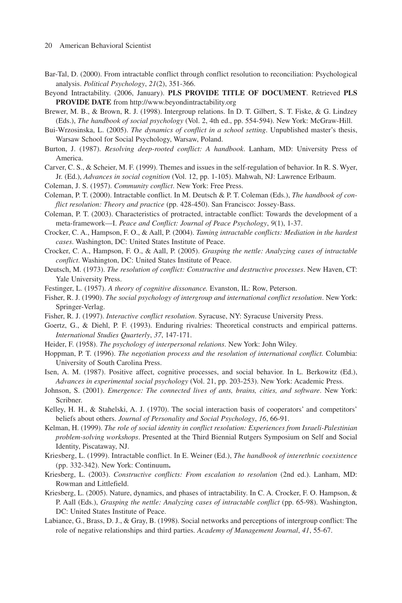- Bar-Tal, D. (2000). From intractable conflict through conflict resolution to reconciliation: Psychological analysis. *Political Psychology*, *21*(2), 351-366.
- Beyond Intractability. (2006, January). **PLS PROVIDE TITLE OF DOCUMENT**. Retrieved **PLS PROVIDE DATE** from http://www.beyondintractability.org
- Brewer, M. B., & Brown, R. J. (1998). Intergroup relations. In D. T. Gilbert, S. T. Fiske, & G. Lindzey (Eds.), *The handbook of social psychology* (Vol. 2, 4th ed., pp. 554-594). New York: McGraw-Hill.
- Bui-Wrzosinska, L. (2005). *The dynamics of conflict in a school setting*. Unpublished master's thesis, Warsaw School for Social Psychology, Warsaw, Poland.
- Burton, J. (1987). *Resolving deep-rooted conflict: A handbook*. Lanham, MD: University Press of America.
- Carver, C. S., & Scheier, M. F. (1999). Themes and issues in the self-regulation of behavior. In R. S. Wyer, Jr. (Ed.), *Advances in social cognition* (Vol. 12, pp. 1-105). Mahwah, NJ: Lawrence Erlbaum.
- Coleman, J. S. (1957). *Community conflict*. New York: Free Press.
- Coleman, P. T. (2000). Intractable conflict. In M. Deutsch & P. T. Coleman (Eds.), *The handbook of conflict resolution: Theory and practice* (pp. 428-450). San Francisco: Jossey-Bass.
- Coleman, P. T. (2003). Characteristics of protracted, intractable conflict: Towards the development of a meta-framework—I. *Peace and Conflict: Journal of Peace Psychology*, *9*(1), 1-37.
- Crocker, C. A., Hampson, F. O., & Aall, P. (2004). *Taming intractable conflicts: Mediation in the hardest cases*. Washington, DC: United States Institute of Peace.
- Crocker, C. A., Hampson, F. O., & Aall, P. (2005). *Grasping the nettle: Analyzing cases of intractable conflict*. Washington, DC: United States Institute of Peace.
- Deutsch, M. (1973). *The resolution of conflict: Constructive and destructive processes*. New Haven, CT: Yale University Press.
- Festinger, L. (1957). *A theory of cognitive dissonance.* Evanston, IL: Row, Peterson.
- Fisher, R. J. (1990). *The social psychology of intergroup and international conflict resolution*. New York: Springer-Verlag.
- Fisher, R. J. (1997). *Interactive conflict resolution*. Syracuse, NY: Syracuse University Press.
- Goertz, G., & Diehl, P. F. (1993). Enduring rivalries: Theoretical constructs and empirical patterns. *International Studies Quarterly*, *37*, 147-171.
- Heider, F. (1958). *The psychology of interpersonal relations*. New York: John Wiley.
- Hoppman, P. T. (1996). *The negotiation process and the resolution of international conflict.* Columbia: University of South Carolina Press.
- Isen, A. M. (1987). Positive affect, cognitive processes, and social behavior. In L. Berkowitz (Ed.), *Advances in experimental social psychology* (Vol. 21, pp. 203-253). New York: Academic Press.
- Johnson, S. (2001). *Emergence: The connected lives of ants, brains, cities, and software*. New York: Scribner.
- Kelley, H. H., & Stahelski, A. J. (1970). The social interaction basis of cooperators' and competitors' beliefs about others. *Journal of Personality and Social Psychology*, *16*, 66-91.
- Kelman, H. (1999). *The role of social identity in conflict resolution: Experiences from Israeli-Palestinian problem-solving workshops*. Presented at the Third Biennial Rutgers Symposium on Self and Social Identity, Piscataway, NJ.
- Kriesberg, L. (1999). Intractable conflict. In E. Weiner (Ed.), *The handbook of interethnic coexistence* (pp. 332-342). New York: Continuum**.**
- Kriesberg, L. (2003). *Constructive conflicts: From escalation to resolution* (2nd ed.). Lanham, MD: Rowman and Littlefield.
- Kriesberg, L. (2005). Nature, dynamics, and phases of intractability. In C. A. Crocker, F. O. Hampson, & P. Aall (Eds.), *Grasping the nettle: Analyzing cases of intractable conflict* (pp. 65-98). Washington, DC: United States Institute of Peace.
- Labiance, G., Brass, D. J., & Gray, B. (1998). Social networks and perceptions of intergroup conflict: The role of negative relationships and third parties. *Academy of Management Journal*, *41*, 55-67.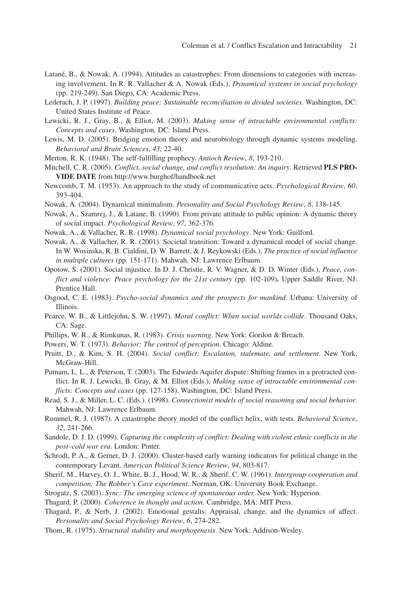- Latané, B., & Nowak, A. (1994). Attitudes as catastrophes: From dimensions to categories with increasing involvement. In R. R. Vallacher & A. Nowak (Eds.), *Dynamical systems in social psychology* (pp. 219-249). San Diego, CA: Academic Press.
- Lederach, J. P. (1997). *Building peace: Sustainable reconciliation in divided societies*. Washington, DC: United States Institute of Peace.
- Lewicki, R. J., Gray, B., & Elliot, M. (2003). *Making sense of intractable environmental conflicts: Concepts and cases*. Washington, DC: Island Press.
- Lewis, M. D. (2005). Bridging emotion theory and neurobiology through dynamic systems modeling. *Behavioral and Brain Sciences*, *43*, 22-40.
- Merton, R. K. (1948). The self-fulfilling prophecy. *Antioch Review*, *8*, 193-210.
- Mitchell, C. R. (2005). *Conflict, social change, and conflict resolution: An inquiry*. Retrieved **PLS PRO-VIDE DATE** from http://www.burghof/handbook.net
- Newcomb, T. M. (1953). An approach to the study of communicative acts. *Psychological Review*, *60*, 393-404.
- Nowak, A. (2004). Dynamical minimalism. *Personality and Social Psychology Review*, *8*, 138-145.
- Nowak, A., Szamrej, J., & Latane, B. (1990). From private attitude to public opinion: A dynamic theory of social impact. *Psychological Review*, *97*, 362-376.
- Nowak, A., & Vallacher, R. R. (1998). *Dynamical social psychology*. New York: Guilford.
- Nowak, A., & Vallacher, R. R. (2001). Societal transition: Toward a dynamical model of social change. In W. Wosinska, R. B. Cialdini, D. W. Barrett, & J. Reykowski (Eds.), *The practice of social influence in multiple cultures* (pp. 151-171). Mahwah, NJ: Lawrence Erlbaum.
- Opotow, S. (2001). Social injustice. In D. J. Christie, R. V. Wagner, & D. D. Winter (Eds.), *Peace, conflict and violence: Peace psychology for the 21st century* (pp. 102-109)**.** Upper Saddle River, NJ: Prentice Hall.
- Osgood, C. E. (1983). *Psycho-social dynamics and the prospects for mankind*. Urbana: University of Illinois.
- Pearce, W. B., & Littlejohn, S. W. (1997). *Moral conflict: When social worlds collide*. Thousand Oaks, CA: Sage.
- Phillips, W. R., & Rimkunas, R. (1983). *Crisis warning*. New York: Gordon & Breach.
- Powers, W. T. (1973). *Behavior: The control of perception*. Chicago: Aldine.
- Pruitt, D., & Kim, S. H. (2004). *Social conflict: Escalation, stalemate, and settlement*. New York, McGraw-Hill.
- Putnam, L. L., & Peterson, T. (2003). The Edwards Aquifer dispute: Shifting frames in a protracted conflict. In R. J. Lewicki, B. Gray, & M. Elliot (Eds.), *Making sense of intractable environmental conflicts: Concepts and cases* (pp. 127-158). Washington, DC: Island Press.
- Read, S. J., & Miller, L. C. (Eds.). (1998). *Connectionist models of social reasoning and social behavior*. Mahwah, NJ: Lawrence Erlbaum.
- Rummel, R. J. (1987). A catastrophe theory model of the conflict helix, with tests. *Behavioral Science*, *32*, 241-266.
- Sandole, D. J. D. (1999). *Capturing the complexity of conflict: Dealing with violent ethnic conflicts in the post–cold war era*. London: Pinter.
- Schrodt, P. A., & Gerner, D. J. (2000). Cluster-based early warning indicators for political change in the contemporary Levant. *American Political Science Review*, *94*, 803-817.
- Sherif, M., Harvey, O. J., White, B. J., Hood, W. R., & Sherif, C. W. (1961). *Intergroup cooperation and competition: The Robber's Cave experiment*. Norman, OK: University Book Exchange.
- Strogatz, S. (2003). *Sync: The emerging science of spontaneous order.* New York: Hyperion.
- Thagard, P. (2000). *Coherence in thought and action*. Cambridge, MA: MIT Press.
- Thagard, P., & Nerb, J. (2002). Emotional gestalts: Appraisal, change, and the dynamics of affect. *Personality and Social Psychology Review*, *6*, 274-282.
- Thom, R. (1975). *Structural stability and morphogenesis*. New York: Addison-Wesley.